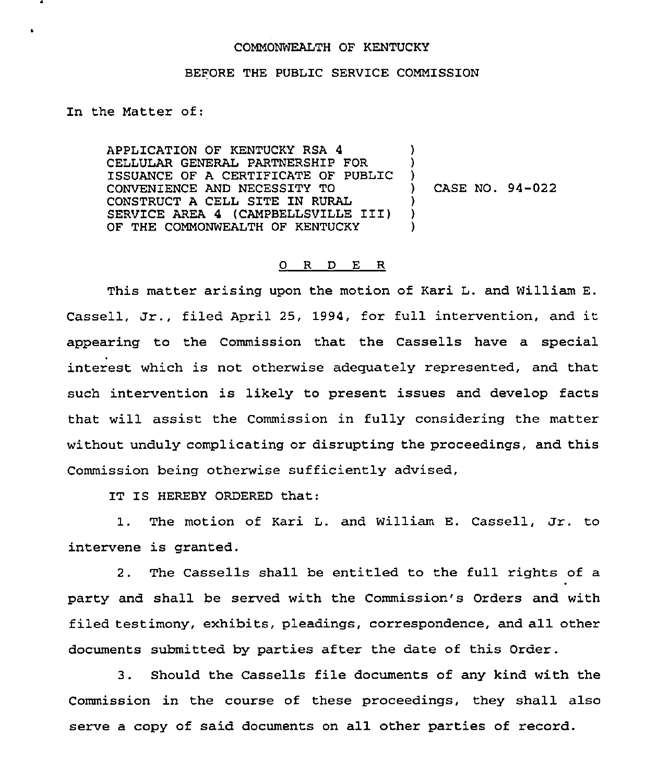## COMMONWEALTH OF KENTUCKY

## BEFORE THE PUBLIC SERVICE COMMISSION

In the Matter of:

 $\bullet$ 

APPLICATION OF KENTUCKY RSA 4 CELLULAR GENERAL PARTNERSHIP FOR ISSUANCE OF A CERTIFICATE OF PUBLIC CONVENIENCE AND NECESSITY TO CONSTRUCT A CELL SITE IN RURAL SERVICE AREA <sup>4</sup> (CAMPBELLSVILLE III) OF THE COMMONWEALTH OF KENTUCKY ) ) )<br>) ) CASE NO. 94-022 ) ) )

## 0 R <sup>D</sup> E R

This matter arising upon the motion of Kari L. and William E. Cassell, Jr., filed April 25, 1994, for full intervention, and it appearing to the Commission that the Cassells have a special interest which is not otherwise adequately represented, and that such intervention is likely to present issues and develop facts that will assist the Commission in fully considering the matter without unduly complicating or disrupting the proceedings, and this Commission being otherwise sufficiently advised,

IT IS HEREBY ORDERED that:

1. The motion of Kari L. and William E. Cassell, Jr. to intervene is granted.

2. The Cassells shall be entitled to the full rights of a party and shall be served with the Commission's Orders and with filed testimony, exhibits, pleadings, correspondence, and all other documents submitted by parties after the date of this Order.

3. Should the Cassells file documents of any kind with the Commission in the course of these proceedings, they shall also serve a copy of said documents on all other parties of record.